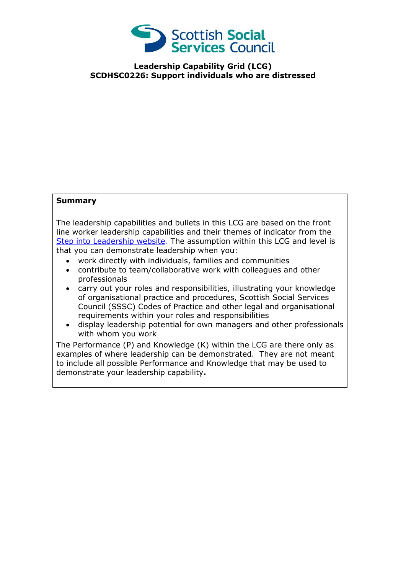

**Leadership Capability Grid (LCG) SCDHSC0226: Support individuals who are distressed**

## **Summary**

The leadership capabilities and bullets in this LCG are based on the front line worker leadership capabilities and their themes of indicator from the [Step into Leadership website.](http://www.stepintoleadership.info/) The assumption within this LCG and level is that you can demonstrate leadership when you:

- work directly with individuals, families and communities
- contribute to team/collaborative work with colleagues and other professionals
- carry out your roles and responsibilities, illustrating your knowledge of organisational practice and procedures, Scottish Social Services Council (SSSC) Codes of Practice and other legal and organisational requirements within your roles and responsibilities
- display leadership potential for own managers and other professionals with whom you work

The Performance (P) and Knowledge (K) within the LCG are there only as examples of where leadership can be demonstrated. They are not meant to include all possible Performance and Knowledge that may be used to demonstrate your leadership capability**.**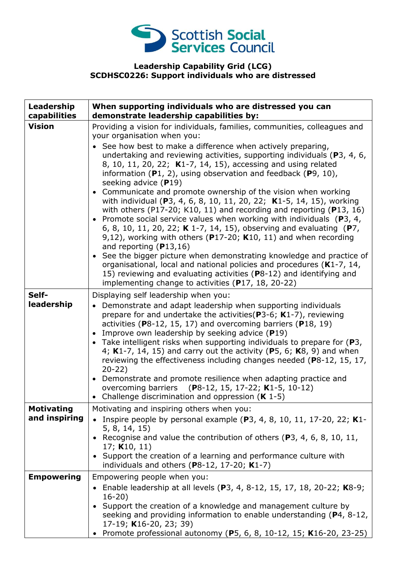

## **Leadership Capability Grid (LCG) SCDHSC0226: Support individuals who are distressed**

| Leadership<br>capabilities         | When supporting individuals who are distressed you can<br>demonstrate leadership capabilities by:                                                                                                                                                                                                                                                                                                                                                                                                                                                                                                                                                                                                                                                                                                                                                                                                                                                                                                                                                                                                                                                                                 |
|------------------------------------|-----------------------------------------------------------------------------------------------------------------------------------------------------------------------------------------------------------------------------------------------------------------------------------------------------------------------------------------------------------------------------------------------------------------------------------------------------------------------------------------------------------------------------------------------------------------------------------------------------------------------------------------------------------------------------------------------------------------------------------------------------------------------------------------------------------------------------------------------------------------------------------------------------------------------------------------------------------------------------------------------------------------------------------------------------------------------------------------------------------------------------------------------------------------------------------|
| <b>Vision</b>                      | Providing a vision for individuals, families, communities, colleagues and<br>your organisation when you:<br>• See how best to make a difference when actively preparing,<br>undertaking and reviewing activities, supporting individuals (P3, 4, 6,<br>8, 10, 11, 20, 22; K1-7, 14, 15), accessing and using related<br>information $(P1, 2)$ , using observation and feedback $(P9, 10)$ ,<br>seeking advice $(P19)$<br>• Communicate and promote ownership of the vision when working<br>with individual (P3, 4, 6, 8, 10, 11, 20, 22; K1-5, 14, 15), working<br>with others (P17-20; K10, 11) and recording and reporting ( $P13$ , 16)<br>• Promote social service values when working with individuals ( $P_3$ , 4,<br>6, 8, 10, 11, 20, 22; K 1-7, 14, 15), observing and evaluating (P7,<br>9,12), working with others ( $P17-20$ ; K10, 11) and when recording<br>and reporting $(P13,16)$<br>• See the bigger picture when demonstrating knowledge and practice of<br>organisational, local and national policies and procedures (K1-7, 14,<br>15) reviewing and evaluating activities (P8-12) and identifying and<br>implementing change to activities (P17, 18, 20-22) |
| Self-<br>leadership                | Displaying self leadership when you:<br>• Demonstrate and adapt leadership when supporting individuals<br>prepare for and undertake the activities (P3-6; $K1-7$ ), reviewing<br>activities (P8-12, 15, 17) and overcoming barriers (P18, 19)<br>• Improve own leadership by seeking advice (P19)<br>• Take intelligent risks when supporting individuals to prepare for $(P3,$<br>4; K1-7, 14, 15) and carry out the activity (P5, 6; K8, 9) and when<br>reviewing the effectiveness including changes needed (P8-12, 15, 17,<br>$20-22)$<br>• Demonstrate and promote resilience when adapting practice and<br>overcoming barriers (P8-12, 15, 17-22; K1-5, 10-12)<br>• Challenge discrimination and oppression $(K 1-5)$                                                                                                                                                                                                                                                                                                                                                                                                                                                       |
| <b>Motivating</b><br>and inspiring | Motivating and inspiring others when you:<br>Inspire people by personal example $(P3, 4, 8, 10, 11, 17-20, 22; K1$ -<br>5, 8, 14, 15)<br>• Recognise and value the contribution of others (P3, 4, 6, 8, 10, 11,<br>17; $K10, 11$<br>• Support the creation of a learning and performance culture with<br>individuals and others ( $P8-12$ , 17-20; $K1-7$ )                                                                                                                                                                                                                                                                                                                                                                                                                                                                                                                                                                                                                                                                                                                                                                                                                       |
| <b>Empowering</b>                  | Empowering people when you:<br>• Enable leadership at all levels (P3, 4, 8-12, 15, 17, 18, 20-22; K8-9;<br>$16 - 20$<br>• Support the creation of a knowledge and management culture by<br>seeking and providing information to enable understanding $(P4, 8-12,$<br>17-19; K16-20, 23; 39)<br>• Promote professional autonomy (P5, 6, 8, 10-12, 15; K16-20, 23-25)                                                                                                                                                                                                                                                                                                                                                                                                                                                                                                                                                                                                                                                                                                                                                                                                               |